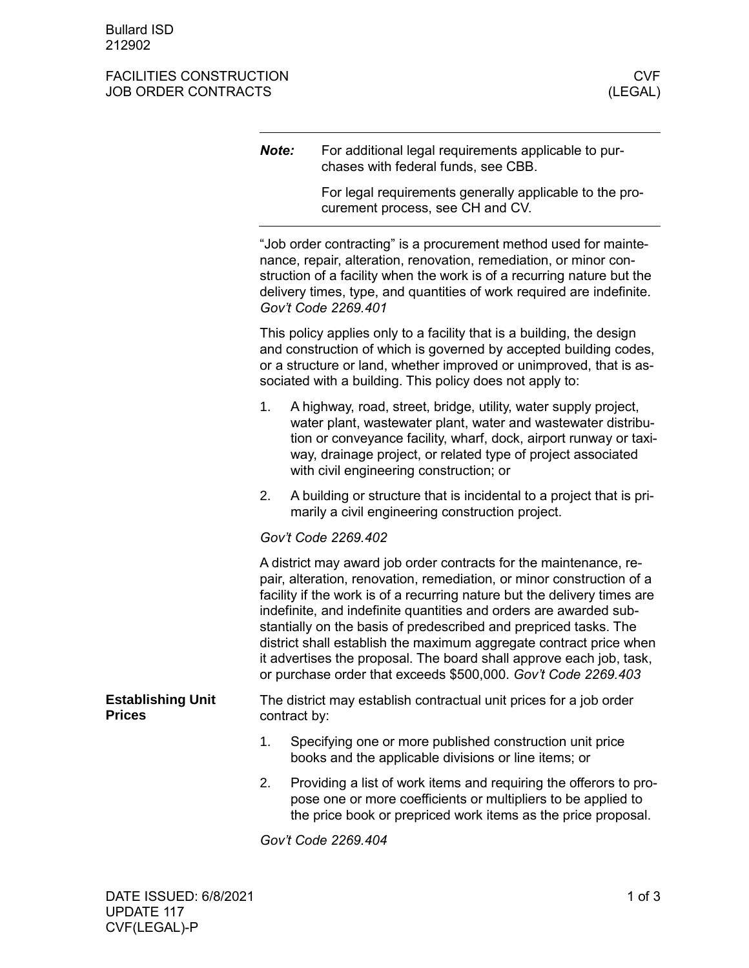## FACILITIES CONSTRUCTION CONSTRUCTION CONSTRUCTION CONSTRUCTION CONSTRUCTION CONSTRUCTION CONSTRUCTION CONSTRUCTION JOB ORDER CONTRACTS

|                                           | Note:                                                                                                                                                                                                                                                                                                                                                                                                                                                                                                                                                                         | For additional legal requirements applicable to pur-<br>chases with federal funds, see CBB.                                                                                                                                                                                                                      |  |
|-------------------------------------------|-------------------------------------------------------------------------------------------------------------------------------------------------------------------------------------------------------------------------------------------------------------------------------------------------------------------------------------------------------------------------------------------------------------------------------------------------------------------------------------------------------------------------------------------------------------------------------|------------------------------------------------------------------------------------------------------------------------------------------------------------------------------------------------------------------------------------------------------------------------------------------------------------------|--|
|                                           |                                                                                                                                                                                                                                                                                                                                                                                                                                                                                                                                                                               | For legal requirements generally applicable to the pro-<br>curement process, see CH and CV.                                                                                                                                                                                                                      |  |
|                                           |                                                                                                                                                                                                                                                                                                                                                                                                                                                                                                                                                                               | "Job order contracting" is a procurement method used for mainte-<br>nance, repair, alteration, renovation, remediation, or minor con-<br>struction of a facility when the work is of a recurring nature but the<br>delivery times, type, and quantities of work required are indefinite.<br>Gov't Code 2269.401  |  |
|                                           |                                                                                                                                                                                                                                                                                                                                                                                                                                                                                                                                                                               | This policy applies only to a facility that is a building, the design<br>and construction of which is governed by accepted building codes,<br>or a structure or land, whether improved or unimproved, that is as-<br>sociated with a building. This policy does not apply to:                                    |  |
|                                           | 1.                                                                                                                                                                                                                                                                                                                                                                                                                                                                                                                                                                            | A highway, road, street, bridge, utility, water supply project,<br>water plant, wastewater plant, water and wastewater distribu-<br>tion or conveyance facility, wharf, dock, airport runway or taxi-<br>way, drainage project, or related type of project associated<br>with civil engineering construction; or |  |
|                                           | 2.                                                                                                                                                                                                                                                                                                                                                                                                                                                                                                                                                                            | A building or structure that is incidental to a project that is pri-<br>marily a civil engineering construction project.                                                                                                                                                                                         |  |
|                                           |                                                                                                                                                                                                                                                                                                                                                                                                                                                                                                                                                                               | Gov't Code 2269.402                                                                                                                                                                                                                                                                                              |  |
|                                           | A district may award job order contracts for the maintenance, re-<br>pair, alteration, renovation, remediation, or minor construction of a<br>facility if the work is of a recurring nature but the delivery times are<br>indefinite, and indefinite quantities and orders are awarded sub-<br>stantially on the basis of predescribed and prepriced tasks. The<br>district shall establish the maximum aggregate contract price when<br>it advertises the proposal. The board shall approve each job, task,<br>or purchase order that exceeds \$500,000. Gov't Code 2269.403 |                                                                                                                                                                                                                                                                                                                  |  |
| <b>Establishing Unit</b><br><b>Prices</b> | The district may establish contractual unit prices for a job order<br>contract by:                                                                                                                                                                                                                                                                                                                                                                                                                                                                                            |                                                                                                                                                                                                                                                                                                                  |  |
|                                           | 1.                                                                                                                                                                                                                                                                                                                                                                                                                                                                                                                                                                            | Specifying one or more published construction unit price<br>books and the applicable divisions or line items; or                                                                                                                                                                                                 |  |
|                                           | 2.                                                                                                                                                                                                                                                                                                                                                                                                                                                                                                                                                                            | Providing a list of work items and requiring the offerors to pro-<br>pose one or more coefficients or multipliers to be applied to<br>the price book or prepriced work items as the price proposal.                                                                                                              |  |
|                                           |                                                                                                                                                                                                                                                                                                                                                                                                                                                                                                                                                                               | Gov't Code 2269.404                                                                                                                                                                                                                                                                                              |  |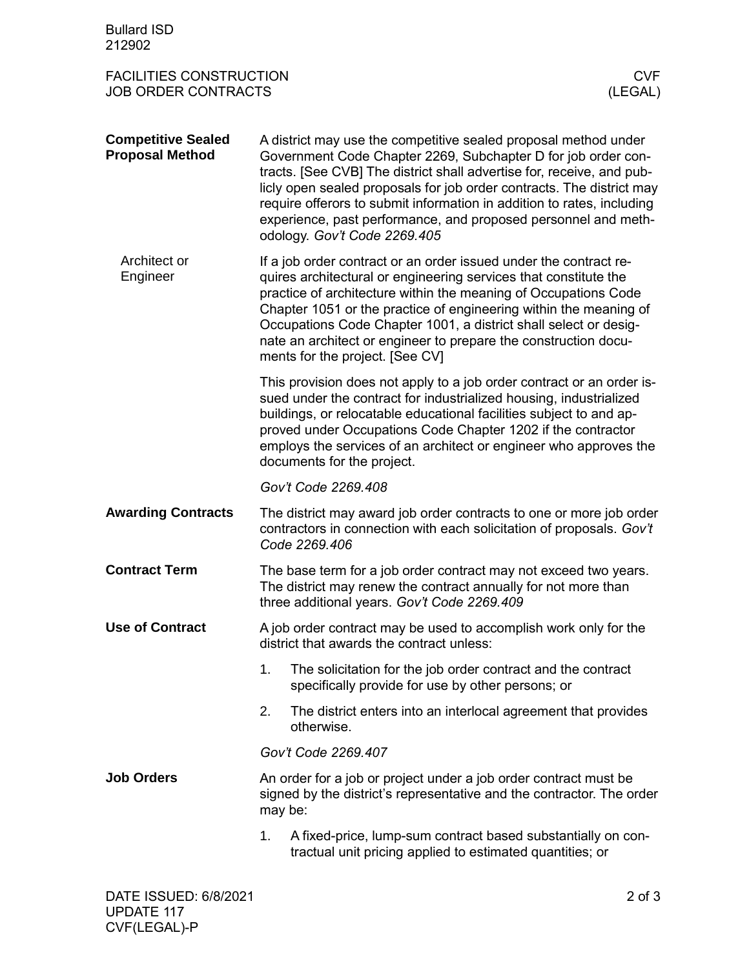| <b>Bullard ISD</b><br>212902                                 |                                                                                                                                                                                                                                                                                                                                                                                                                                                                |  |  |
|--------------------------------------------------------------|----------------------------------------------------------------------------------------------------------------------------------------------------------------------------------------------------------------------------------------------------------------------------------------------------------------------------------------------------------------------------------------------------------------------------------------------------------------|--|--|
| <b>FACILITIES CONSTRUCTION</b><br><b>JOB ORDER CONTRACTS</b> | <b>CVF</b><br>(LEGAL)                                                                                                                                                                                                                                                                                                                                                                                                                                          |  |  |
| <b>Competitive Sealed</b><br><b>Proposal Method</b>          | A district may use the competitive sealed proposal method under<br>Government Code Chapter 2269, Subchapter D for job order con-<br>tracts. [See CVB] The district shall advertise for, receive, and pub-<br>licly open sealed proposals for job order contracts. The district may<br>require offerors to submit information in addition to rates, including<br>experience, past performance, and proposed personnel and meth-<br>odology. Gov't Code 2269.405 |  |  |
| Architect or<br>Engineer                                     | If a job order contract or an order issued under the contract re-<br>quires architectural or engineering services that constitute the<br>practice of architecture within the meaning of Occupations Code<br>Chapter 1051 or the practice of engineering within the meaning of<br>Occupations Code Chapter 1001, a district shall select or desig-<br>nate an architect or engineer to prepare the construction docu-<br>ments for the project. [See CV]        |  |  |
|                                                              | This provision does not apply to a job order contract or an order is-<br>sued under the contract for industrialized housing, industrialized<br>buildings, or relocatable educational facilities subject to and ap-<br>proved under Occupations Code Chapter 1202 if the contractor<br>employs the services of an architect or engineer who approves the<br>documents for the project.                                                                          |  |  |
|                                                              | Gov't Code 2269.408                                                                                                                                                                                                                                                                                                                                                                                                                                            |  |  |
| <b>Awarding Contracts</b>                                    | The district may award job order contracts to one or more job order<br>contractors in connection with each solicitation of proposals. Gov't<br>Code 2269.406                                                                                                                                                                                                                                                                                                   |  |  |
| <b>Contract Term</b>                                         | The base term for a job order contract may not exceed two years.<br>The district may renew the contract annually for not more than<br>three additional years. Gov't Code 2269.409                                                                                                                                                                                                                                                                              |  |  |
| <b>Use of Contract</b>                                       | A job order contract may be used to accomplish work only for the<br>district that awards the contract unless:                                                                                                                                                                                                                                                                                                                                                  |  |  |
|                                                              | 1.<br>The solicitation for the job order contract and the contract<br>specifically provide for use by other persons; or                                                                                                                                                                                                                                                                                                                                        |  |  |
|                                                              | 2.<br>The district enters into an interlocal agreement that provides<br>otherwise.                                                                                                                                                                                                                                                                                                                                                                             |  |  |
|                                                              | Gov't Code 2269.407                                                                                                                                                                                                                                                                                                                                                                                                                                            |  |  |
| <b>Job Orders</b>                                            | An order for a job or project under a job order contract must be<br>signed by the district's representative and the contractor. The order<br>may be:                                                                                                                                                                                                                                                                                                           |  |  |
|                                                              | 1.<br>A fixed-price, lump-sum contract based substantially on con-<br>tractual unit pricing applied to estimated quantities; or                                                                                                                                                                                                                                                                                                                                |  |  |